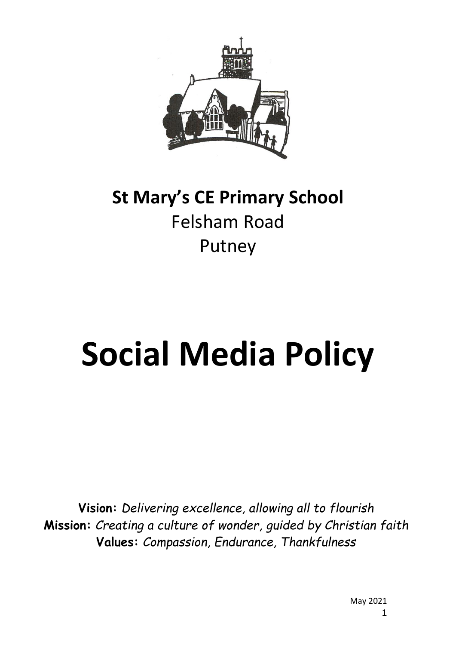

# **St Mary's CE Primary School** Felsham Road Putney

# **Social Media Policy**

**Vision:** *Delivering excellence, allowing all to flourish* **Mission:** *Creating a culture of wonder, guided by Christian faith* **Values:** *Compassion, Endurance, Thankfulness*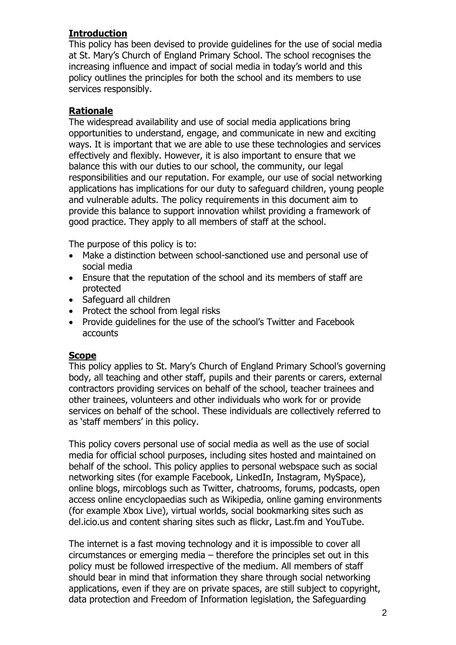#### **Introduction**

This policy has been devised to provide guidelines for the use of social media at St. Mary's Church of England Primary School. The school recognises the increasing influence and impact of social media in today's world and this policy outlines the principles for both the school and its members to use services responsibly.

#### **Rationale**

The widespread availability and use of social media applications bring opportunities to understand, engage, and communicate in new and exciting ways. It is important that we are able to use these technologies and services effectively and flexibly. However, it is also important to ensure that we balance this with our duties to our school, the community, our legal responsibilities and our reputation. For example, our use of social networking applications has implications for our duty to safeguard children, young people and vulnerable adults. The policy requirements in this document aim to provide this balance to support innovation whilst providing a framework of good practice. They apply to all members of staff at the school.

The purpose of this policy is to:

- Make a distinction between school-sanctioned use and personal use of social media
- Ensure that the reputation of the school and its members of staff are protected
- Safeguard all children
- Protect the school from legal risks
- Provide guidelines for the use of the school's Twitter and Facebook accounts

#### **Scope**

This policy applies to St. Mary's Church of England Primary School's governing body, all teaching and other staff, pupils and their parents or carers, external contractors providing services on behalf of the school, teacher trainees and other trainees, volunteers and other individuals who work for or provide services on behalf of the school. These individuals are collectively referred to as 'staff members' in this policy.

This policy covers personal use of social media as well as the use of social media for official school purposes, including sites hosted and maintained on behalf of the school. This policy applies to personal webspace such as social networking sites (for example Facebook, LinkedIn, Instagram, MySpace), online blogs, mircoblogs such as Twitter, chatrooms, forums, podcasts, open access online encyclopaedias such as Wikipedia, online gaming environments (for example Xbox Live), virtual worlds, social bookmarking sites such as del.icio.us and content sharing sites such as flickr, Last.fm and YouTube.

The internet is a fast moving technology and it is impossible to cover all circumstances or emerging media – therefore the principles set out in this policy must be followed irrespective of the medium. All members of staff should bear in mind that information they share through social networking applications, even if they are on private spaces, are still subject to copyright, data protection and Freedom of Information legislation, the Safeguarding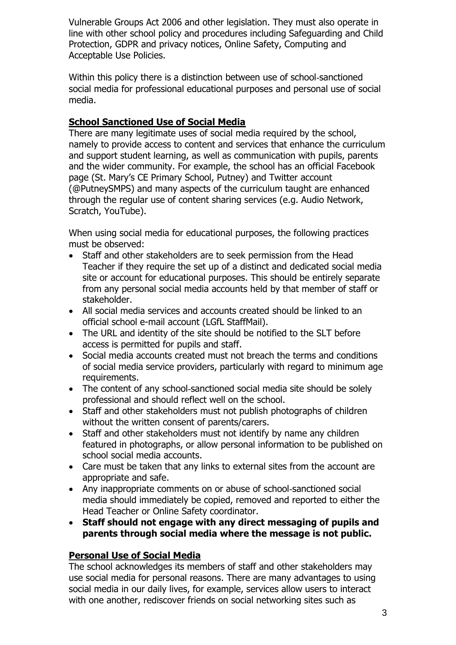Vulnerable Groups Act 2006 and other legislation. They must also operate in line with other school policy and procedures including Safeguarding and Child Protection, GDPR and privacy notices, Online Safety, Computing and Acceptable Use Policies.

Within this policy there is a distinction between use of school-sanctioned social media for professional educational purposes and personal use of social media.

#### **School Sanctioned Use of Social Media**

There are many legitimate uses of social media required by the school, namely to provide access to content and services that enhance the curriculum and support student learning, as well as communication with pupils, parents and the wider community. For example, the school has an official Facebook page (St. Mary's CE Primary School, Putney) and Twitter account (@PutneySMPS) and many aspects of the curriculum taught are enhanced through the regular use of content sharing services (e.g. Audio Network, Scratch, YouTube).

When using social media for educational purposes, the following practices must be observed:

- Staff and other stakeholders are to seek permission from the Head Teacher if they require the set up of a distinct and dedicated social media site or account for educational purposes. This should be entirely separate from any personal social media accounts held by that member of staff or stakeholder.
- All social media services and accounts created should be linked to an official school e-mail account (LGfL StaffMail).
- The URL and identity of the site should be notified to the SLT before access is permitted for pupils and staff.
- Social media accounts created must not breach the terms and conditions of social media service providers, particularly with regard to minimum age requirements.
- The content of any school-sanctioned social media site should be solely professional and should reflect well on the school.
- Staff and other stakeholders must not publish photographs of children without the written consent of parents/carers.
- Staff and other stakeholders must not identify by name any children featured in photographs, or allow personal information to be published on school social media accounts.
- Care must be taken that any links to external sites from the account are appropriate and safe.
- Any inappropriate comments on or abuse of school-sanctioned social media should immediately be copied, removed and reported to either the Head Teacher or Online Safety coordinator.
- **Staff should not engage with any direct messaging of pupils and parents through social media where the message is not public.**

#### **Personal Use of Social Media**

The school acknowledges its members of staff and other stakeholders may use social media for personal reasons. There are many advantages to using social media in our daily lives, for example, services allow users to interact with one another, rediscover friends on social networking sites such as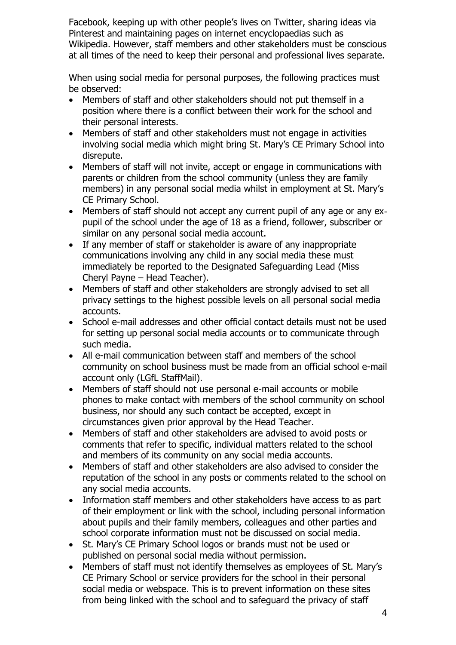Facebook, keeping up with other people's lives on Twitter, sharing ideas via Pinterest and maintaining pages on internet encyclopaedias such as Wikipedia. However, staff members and other stakeholders must be conscious at all times of the need to keep their personal and professional lives separate.

When using social media for personal purposes, the following practices must be observed:

- Members of staff and other stakeholders should not put themself in a position where there is a conflict between their work for the school and their personal interests.
- Members of staff and other stakeholders must not engage in activities involving social media which might bring St. Mary's CE Primary School into disrepute.
- Members of staff will not invite, accept or engage in communications with parents or children from the school community (unless they are family members) in any personal social media whilst in employment at St. Mary's CE Primary School.
- Members of staff should not accept any current pupil of any age or any expupil of the school under the age of 18 as a friend, follower, subscriber or similar on any personal social media account.
- If any member of staff or stakeholder is aware of any inappropriate communications involving any child in any social media these must immediately be reported to the Designated Safeguarding Lead (Miss Cheryl Payne – Head Teacher).
- Members of staff and other stakeholders are strongly advised to set all privacy settings to the highest possible levels on all personal social media accounts.
- School e-mail addresses and other official contact details must not be used for setting up personal social media accounts or to communicate through such media.
- All e-mail communication between staff and members of the school community on school business must be made from an official school e-mail account only (LGfL StaffMail).
- Members of staff should not use personal e-mail accounts or mobile phones to make contact with members of the school community on school business, nor should any such contact be accepted, except in circumstances given prior approval by the Head Teacher.
- Members of staff and other stakeholders are advised to avoid posts or comments that refer to specific, individual matters related to the school and members of its community on any social media accounts.
- Members of staff and other stakeholders are also advised to consider the reputation of the school in any posts or comments related to the school on any social media accounts.
- Information staff members and other stakeholders have access to as part of their employment or link with the school, including personal information about pupils and their family members, colleagues and other parties and school corporate information must not be discussed on social media.
- St. Mary's CE Primary School logos or brands must not be used or published on personal social media without permission.
- Members of staff must not identify themselves as employees of St. Mary's CE Primary School or service providers for the school in their personal social media or webspace. This is to prevent information on these sites from being linked with the school and to safeguard the privacy of staff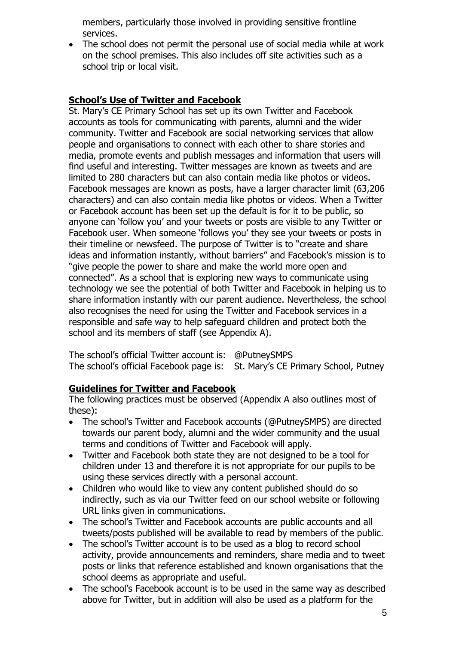members, particularly those involved in providing sensitive frontline services.

• The school does not permit the personal use of social media while at work on the school premises. This also includes off site activities such as a school trip or local visit.

#### **School's Use of Twitter and Facebook**

St. Mary's CE Primary School has set up its own Twitter and Facebook accounts as tools for communicating with parents, alumni and the wider community. Twitter and Facebook are social networking services that allow people and organisations to connect with each other to share stories and media, promote events and publish messages and information that users will find useful and interesting. Twitter messages are known as tweets and are limited to 280 characters but can also contain media like photos or videos. Facebook messages are known as posts, have a larger character limit (63,206 characters) and can also contain media like photos or videos. When a Twitter or Facebook account has been set up the default is for it to be public, so anyone can 'follow you' and your tweets or posts are visible to any Twitter or Facebook user. When someone 'follows you' they see your tweets or posts in their timeline or newsfeed. The purpose of Twitter is to "create and share ideas and information instantly, without barriers" and Facebook's mission is to "give people the power to share and make the world more open and connected". As a school that is exploring new ways to communicate using technology we see the potential of both Twitter and Facebook in helping us to share information instantly with our parent audience. Nevertheless, the school also recognises the need for using the Twitter and Facebook services in a responsible and safe way to help safeguard children and protect both the school and its members of staff (see Appendix A).

The school's official Twitter account is: @PutneySMPS The school's official Facebook page is: St. Mary's CE Primary School, Putney

#### **Guidelines for Twitter and Facebook**

The following practices must be observed (Appendix A also outlines most of these):

- The school's Twitter and Facebook accounts (@PutneySMPS) are directed towards our parent body, alumni and the wider community and the usual terms and conditions of Twitter and Facebook will apply.
- Twitter and Facebook both state they are not designed to be a tool for children under 13 and therefore it is not appropriate for our pupils to be using these services directly with a personal account.
- Children who would like to view any content published should do so indirectly, such as via our Twitter feed on our school website or following URL links given in communications.
- The school's Twitter and Facebook accounts are public accounts and all tweets/posts published will be available to read by members of the public.
- The school's Twitter account is to be used as a blog to record school activity, provide announcements and reminders, share media and to tweet posts or links that reference established and known organisations that the school deems as appropriate and useful.
- The school's Facebook account is to be used in the same way as described above for Twitter, but in addition will also be used as a platform for the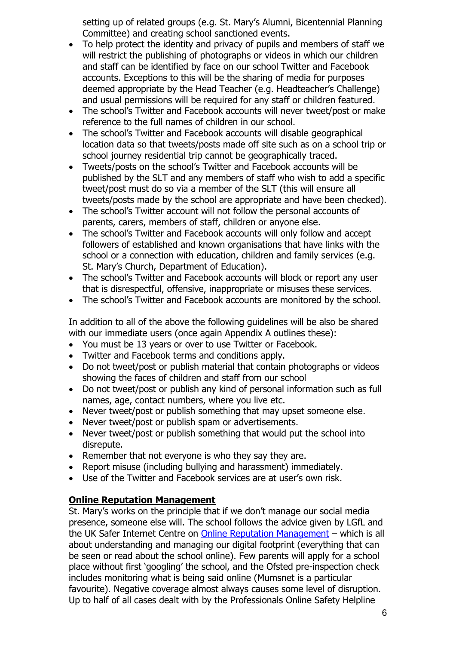setting up of related groups (e.g. St. Mary's Alumni, Bicentennial Planning Committee) and creating school sanctioned events.

- To help protect the identity and privacy of pupils and members of staff we will restrict the publishing of photographs or videos in which our children and staff can be identified by face on our school Twitter and Facebook accounts. Exceptions to this will be the sharing of media for purposes deemed appropriate by the Head Teacher (e.g. Headteacher's Challenge) and usual permissions will be required for any staff or children featured.
- The school's Twitter and Facebook accounts will never tweet/post or make reference to the full names of children in our school.
- The school's Twitter and Facebook accounts will disable geographical location data so that tweets/posts made off site such as on a school trip or school journey residential trip cannot be geographically traced.
- Tweets/posts on the school's Twitter and Facebook accounts will be published by the SLT and any members of staff who wish to add a specific tweet/post must do so via a member of the SLT (this will ensure all tweets/posts made by the school are appropriate and have been checked).
- The school's Twitter account will not follow the personal accounts of parents, carers, members of staff, children or anyone else.
- The school's Twitter and Facebook accounts will only follow and accept followers of established and known organisations that have links with the school or a connection with education, children and family services (e.g. St. Mary's Church, Department of Education).
- The school's Twitter and Facebook accounts will block or report any user that is disrespectful, offensive, inappropriate or misuses these services.
- The school's Twitter and Facebook accounts are monitored by the school.

In addition to all of the above the following guidelines will be also be shared with our immediate users (once again Appendix A outlines these):

- You must be 13 years or over to use Twitter or Facebook.
- Twitter and Facebook terms and conditions apply.
- Do not tweet/post or publish material that contain photographs or videos showing the faces of children and staff from our school
- Do not tweet/post or publish any kind of personal information such as full names, age, contact numbers, where you live etc.
- Never tweet/post or publish something that may upset someone else.
- Never tweet/post or publish spam or advertisements.
- Never tweet/post or publish something that would put the school into disrepute.
- Remember that not everyone is who they say they are.
- Report misuse (including bullying and harassment) immediately.
- Use of the Twitter and Facebook services are at user's own risk.

#### **Online Reputation Management**

St. Mary's works on the principle that if we don't manage our social media presence, someone else will. The school follows the advice given by LGfL and the UK Safer Internet Centre on [Online Reputation Management](http://onlinerep.lgfl.net/) – which is all about understanding and managing our digital footprint (everything that can be seen or read about the school online). Few parents will apply for a school place without first 'googling' the school, and the Ofsted pre-inspection check includes monitoring what is being said online (Mumsnet is a particular favourite). Negative coverage almost always causes some level of disruption. Up to half of all cases dealt with by the Professionals Online Safety Helpline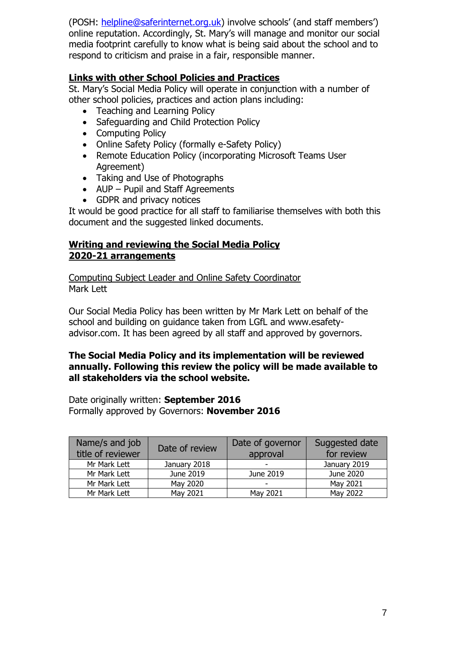(POSH: [helpline@saferinternet.org.uk](mailto:helpline@saferinternet.org.uk)) involve schools' (and staff members') online reputation. Accordingly, St. Mary's will manage and monitor our social media footprint carefully to know what is being said about the school and to respond to criticism and praise in a fair, responsible manner.

#### **Links with other School Policies and Practices**

St. Mary's Social Media Policy will operate in conjunction with a number of other school policies, practices and action plans including:

- Teaching and Learning Policy
- Safeguarding and Child Protection Policy
- Computing Policy
- Online Safety Policy (formally e-Safety Policy)
- Remote Education Policy (incorporating Microsoft Teams User Agreement)
- Taking and Use of Photographs
- AUP Pupil and Staff Agreements
- GDPR and privacy notices

It would be good practice for all staff to familiarise themselves with both this document and the suggested linked documents.

#### **Writing and reviewing the Social Media Policy 2020-21 arrangements**

Computing Subject Leader and Online Safety Coordinator Mark Lett

Our Social Media Policy has been written by Mr Mark Lett on behalf of the school and building on guidance taken from LGfL and www.esafetyadvisor.com. It has been agreed by all staff and approved by governors.

#### **The Social Media Policy and its implementation will be reviewed annually. Following this review the policy will be made available to all stakeholders via the school website.**

Date originally written: **September 2016** Formally approved by Governors: **November 2016**

| Name/s and job<br>title of reviewer | Date of review | Date of governor<br>approval | Suggested date<br>for review |
|-------------------------------------|----------------|------------------------------|------------------------------|
| Mr Mark Lett                        | January 2018   | $\overline{\phantom{0}}$     | January 2019                 |
| Mr Mark Lett                        | June 2019      | June 2019                    | June 2020                    |
| Mr Mark Lett                        | May 2020       | $\overline{\phantom{a}}$     | May 2021                     |
| Mr Mark Lett                        | May 2021       | May 2021                     | May 2022                     |